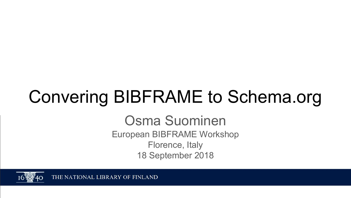# Convering BIBFRAME to Schema.org

Osma Suominen European BIBFRAME Workshop Florence, Italy 18 September 2018



THE NATIONAL LIBRARY OF FINLAND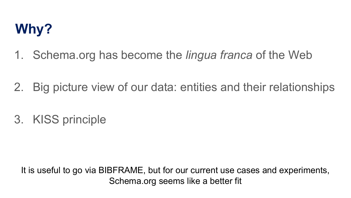### **Why?**

- 1. Schema.org has become the *lingua franca* of the Web
- 2. Big picture view of our data: entities and their relationships
- 3. KISS principle

It is useful to go via BIBFRAME, but for our current use cases and experiments, Schema.org seems like a better fit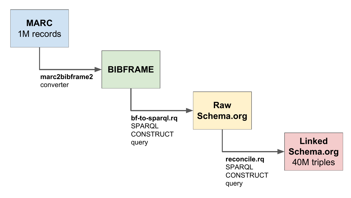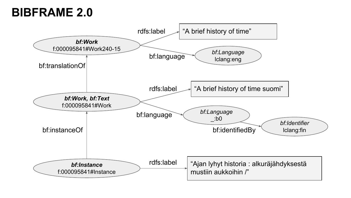#### **BIBFRAME 2.0**

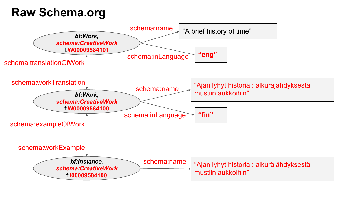#### **Raw Schema.org**

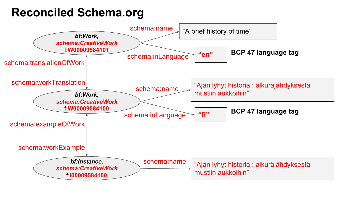#### **Reconciled Schema.org**

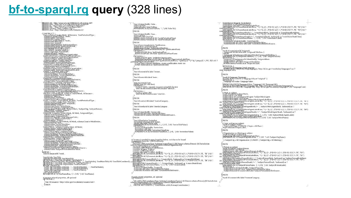#### **[bf-to-sparql.rq](https://github.com/NatLibFi/bib-rdf-pipeline/blob/master/sparql/bf-to-schema.rq) query** (328 lines)

PREELY refu, shungi www.yoo.wit.people.org/scriptspare.nett-<br>PREELY Br. shunging www.people.org/manetal.com/management<br>PREELY Brits.com/management/com/management/com/management<br>PREELY schema - shup://rdaregistry.info/Eleme **SEE FOR THE PROPERTY CONTROLL CONTROLL CONTROLL CONTROLL CONTROLL CONTROLL CONTROLL CONTROLL CONTROLL CONTROLL CONTROLL CONTROLL CONTROLL CONTROLL CONTROLL CONTROLL CONTROLL CONTROLL CONTROLL CONTROLL CONTROLL CONTROLL** WHERE {<br>2inst brinstanceOf ?work 3ing hefuls JangTille, 2nga MainTule, as which is a comparison of the State And State Theory of the State Telescopic Companion of the State Telescopic Companion of the State Telescopic Companion of the State Telescopic Com AS 2015(NameRaw)<br>
BIND(REPLACE(2015(NameRaw, '[ \\/]+\$', '') AS 2015(Name) # instance-related properties, all optional<br>OPTIONAL ?inst bf:issuance <http://id.loc.gov/vocabulary/issuance/serl> UNION

?inst bf;identifiedBy ?isbn .<br>?isbn a bf: k bn .<br>?isbn rdf:value ?isbnValRaw.<br>BIND(REPLACE(?isbnValRaw, '-', '') AS ?isbn Val ) **INION** 2<br>Pinst bf:identifiedBy ?issn<br>?issn a.hf:issn<br>BIND(schema:Periodical AS ?workPeriodicalType)<br>BIND(schema:Periodical AS ?instPeriodicalType) **NION** 2ms bringspacking the spanishing and the spanish can<br>2ms brings in France Taublican David<br>2ms bringspacking the spanishing and the spanishing and<br>2000 Santa David Taublican<br>3ms bringspack the spanishing and the spanishing ပ်ကπογια L.L.<br>အမည်းခြံစားပြီး ရဲ့ရစ္ဆေး ?publisherOrganization<br>အမည်းခြံစားပွဲ ရေစေး ?publisherOrganization.commissionLabelRav<br>မြေလူမှု မြန်မာန်အနံ့ Advance Digital More application event too<br>မြေလူမှု မြန်မာန်အနံ့ Advanc **NION** inst bf:extent/rdfs:label ?extent. **NION** linst bf:note/rdfs:label ?note **INION** <sup>1</sup>2elec bEitemOf 2 inst<br>BIND 2013 AS 2 elec first)<br>OPTIONAL 3<br>*P Company and a separate resource using bfic:locator*<br>, 2elec bEelectronicLocato*r bfi*c:locator ?elecUri OPTIONAL {<br># Case 2: plain URI<br>?elec bl:electronicLocator ?elec Uri . **INION** Pinst bf:carrier/rdfs:label ?carrierCategory **INION** linst bf:media/rdfs:label ?mediaCategory INION .<br>?instanceld\_rdf:value\_?instanceld\_\alue .<br>?instanceld\_bt:source/rdfs:label\_?instanceldSource . **NION** rvanov<br>"Angle Bankspies Aerieglast"<br>"Angle Bankspies" (1941 – 1945)<br>"Brown Bankspies" (1941 – 1945)<br>"Brown Bankspies" (1946 – 1945)<br>"Agricultata Alicana" (2046 – 1946 – 1945)<br>"Agricultata Alicana" (1946 – 1945)<br>"Angle Bank ္က 2 crosses is peeded in INPOX complete below, so it has so be bound<br>
ပိုမိုကို MORA Cristof and Cristof Complete Action (2010) (In Carl Cristof and Cristof and Cristof and Cristof<br>
လုပ်ပေးပိုင်း ကြောင်းရေးကို ပြုပြင် Testor Name)<br>BINDIREPLACE(?creatorLabeIRaw, "^(,+?)(, ([^,-]\*[0-9]+)([^,\\,]\*[0-9]+)?)?,?\\?\$", "\$3") AS ? exon ENFACE(creatorBirth) != "2creatorBirth 2.9php9990.2created.3jrth2)?"%\25", "54") AS 2 eater Death)<br>ENDUAL TROCREAGEMENT |= ", ?creatorDeath, ?unbound) as ?creatorDeathDate)<br>ENDUAL TROCREAGEMENT ||- ", ", ", ") AS ?creatorLabel)<br>?creatorDright:<br>", creatorId bi: source/rdis:Label ?creatorLabellite/Source<br>. ?c by PIONAL properties, all optional

<sup>1</sup> VALUES (26Comritium Type 2schemaContributorType) { (bf:Person schema:Person) (bf:Jurisdiction<br>schema:ResoncestorPerson and all communicated and all of the schema:Person) (bf:Jurisdiction<br>| FILTER NOT EXISTS { ?contrib

3contribution bEagers 3constitution:<br>3contribution affait contribution (y pe<br>BINDISEPLACE( 2contribution abelitaw, "^( +2)(, ({^, -)\* [0-9]+)-({^,\\,}\* [0-9]+)?)?, ?\, ?\$", "\$1") AS ? SOMEONIA PRODUCTION CONTINUOUS CONTINUOUS CONTINUES (CONTINUES) AND CONTINUOUS CONTINUOUS CONTINUES (CONTINUES)<br>BINDING PRODUCTION CELECTOR (CONTINUES) AND CONTINUES (CONTINUES) AND CONTINUES (CONTINUES) AND CONTINUES  $\begin{array}{l} \displaystyle\frac{\partial^2}{\partial x^2}\left(\frac{\partial^2}{\partial x^2}\right)^2\left(\frac{\partial^2}{\partial x^2}\right)^2\left(\frac{\partial^2}{\partial x^2}\right)^2\left(\frac{\partial^2}{\partial x^2}\right)^2\left(\frac{\partial^2}{\partial x^2}\right)^2\left(\frac{\partial^2}{\partial x^2}\right)^2\left(\frac{\partial^2}{\partial x^2}\right)^2\left(\frac{\partial^2}{\partial x^2}\right)^2\left(\frac{\partial^2}{\partial x^2}\right)^2\left(\frac{\partial^2}{\partial x^2}\right)^2\left(\frac{\partial^2}{\partial x^2}\right)^2$ **INION** Pwork bf:translationOf ?origwork<br>| ?origwork bf:title/rdfs:label ?origworkTitleRaw }<br>UNION UNION<br>Light Republic School (Edition of the Postsward Diletown Intel)<br>Company Dilas Instance of LidentinedBy ?origworkIssn .<br>2010 (2011) Sample The PostsworkIssn ?<br>2018 (2012) Sample PostsworkIssn ?<br>Lili Nixohema:Periodica င်စု TIONAL {<br>- ချာ(ရှာပွင်း) - Janguage ဆုံး၊ J. Amguage<br>Language Code) ER(STR(?ongLanguage), "http://id.loc.gov/vocabulary/languages") as ?<br>Language Code) **NION** ?work bf:language ?language<br>EUL FER NOTEXISTS { ?language b f:part "original" }<br>CICINONAL { CICINON }<br>, ?language rd f:v alue ?language Value . .<br>EINDICOALESCE(21anguageValue, ?1anguage) AS ?1anguageVal)<br>EINDIS IRAFTER(STRI ?1anguageVal), http://id.loc.gov/vocabulary/languages/7/3/?1anguageCode)<br>EINDIS IRAFTER(STRI ?1anguageVal), http://id.loc.gov/vocabulary/langu **INION** ်။ West နှင့် အခြင်း လျှစ်ပြုလုပ်များ<br>တို့သော မြန်မာနိုင်ငံ ပြုလုပ်ရေး အခြင်း တပ်ပြီး ပြုလုပ်ရေး တပ်ပြီး ပြုလုပ်ရေး ပြုလုပ်ရေး ပြုလုပ်ရေး ပြုလုပ်ရေး<br>ကိုယ်မြိုင်း ပြုလုပ်ရှား မြန်မာနိုင်ငံ ပြုလုပ်ရေး တပ်ပြီး ပြုလုပ်ရေး ပြု AS Simple Work Nearly Workspanial and East ( $\pi$ ,  $\pi$ ),  $\pi$ ) ( $\pi$ ),  $\pi$ ) ( $\pi$ ),  $\pi$ ) ( $\pi$ ),  $\pi$ ) ( $\pi$ ),  $\pi$ ) ( $\pi$ ),  $\pi$ ),  $\pi$ ) ( $\pi$ ),  $\pi$ ),  $\pi$ ) ( $\pi$ ),  $\pi$ ) ( $\pi$ ),  $\pi$ ) ( $\pi$ ),  $\pi$ ) ( $\pi$ ),  $\pi$ ) ( $\pi$ **INION** # Topic or Place as subject<br>?work bi:subject 20pic / UNION { ?topic a bf:Place }<br>{ ?topic ad is ! abel ?topicLabel .<br>?topic ad is:Label ?topicLabel . **INION** # Organization or Meeting as subject<br>?work bitsubject ?subjectOrg ?upPetors?<br>BIND(REPLACE/?subjectOrgNameRaw, T","s. J+\$", ") AS ?subjectOrgName) 2subjectOrg a bf:Organization } UNION { 2subjectOrg a bf:Meeting } **NION** ်။<br>"လူတွေက နေ့ ရှုပ်ပြုလုပ်ပြုလုပ်ပြုလာတယ်။<br>သို့တွေကို မြန်မာနိုင်ငံ ကိုယ့်ပြုလုပ်ပြုလာတဲ့အချိန်ထိပြီး မြန်မာနဲ့ ((ပုံ-၃)\*(0-9)+>(ပုံ-\\\,)\*(0-9)+)?)?,?\\.2\$", "\$1")<br>ကိုလိုက်ပြည်။ (၃) ပုံ-ပုံများကြောင်းကို အောင်ဆင်းလေး AS SUNDRIPLE-ACE (SibjectPessonLabeRaw, "^(,+ 2)(, (P,-,)+[0-9]+)-({\,\,,|+[0-9]+)2), ?\, .?S, ... "S3")<br>
BINNER RESERVE PROBLEM IN E ..., "AubjectPessonBittle, Authorities, Paylogical Strategies (Several European)<br>
AS SU riedPorkohDiskipCore<br>
ENDOGER (SubjectPersonName, T. V. Jr-S., ") AS ?subjectPersonLabel)<br>
2 HDR (Here is the complete Person News)<br>
2 subjectPerson htidentifiedBy ?subjectPersonIdentifiedSubjectPerson<br>
2 subjectPersonIden **INION** ?work bf:content/rdfs:label ?contentCategory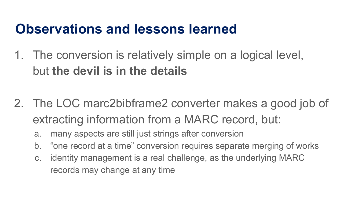### **Observations and lessons learned**

- 1. The conversion is relatively simple on a logical level, but **the devil is in the details**
- 2. The LOC marc2bibframe2 converter makes a good job of extracting information from a MARC record, but:
	- a. many aspects are still just strings after conversion
	- b. "one record at a time" conversion requires separate merging of works
	- c. identity management is a real challenge, as the underlying MARC records may change at any time